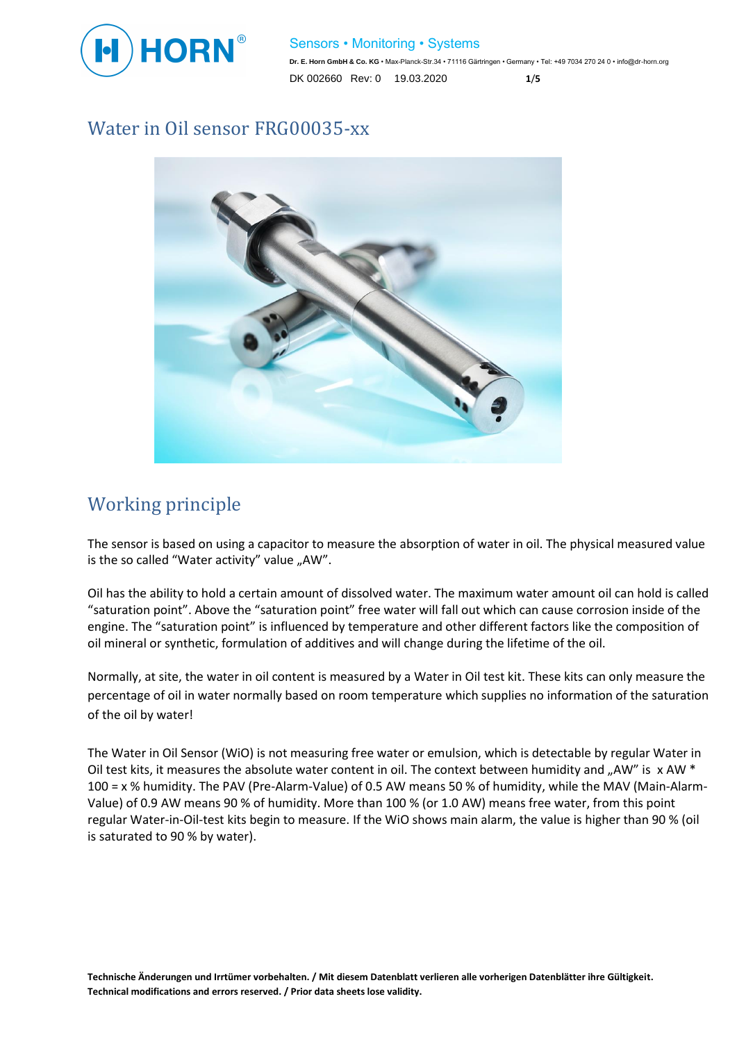

#### Sensors • Monitoring • Systems

**Dr. E. Horn GmbH & Co. KG** • Max-Planck-Str.34 • 71116 Gärtringen • Germany • Tel: +49 7034 270 24 0 • info@dr-horn.org DK 002660 Rev: 0 19.03.2020 **1**/**5**

#### Water in Oil sensor FRG00035-xx



### Working principle

The sensor is based on using a capacitor to measure the absorption of water in oil. The physical measured value is the so called "Water activity" value "AW".

Oil has the ability to hold a certain amount of dissolved water. The maximum water amount oil can hold is called "saturation point". Above the "saturation point" free water will fall out which can cause corrosion inside of the engine. The "saturation point" is influenced by temperature and other different factors like the composition of oil mineral or synthetic, formulation of additives and will change during the lifetime of the oil.

Normally, at site, the water in oil content is measured by a Water in Oil test kit. These kits can only measure the percentage of oil in water normally based on room temperature which supplies no information of the saturation of the oil by water!

The Water in Oil Sensor (WiO) is not measuring free water or emulsion, which is detectable by regular Water in Oil test kits, it measures the absolute water content in oil. The context between humidity and "AW" is  $x$  AW  $*$ 100 = x % humidity. The PAV (Pre-Alarm-Value) of 0.5 AW means 50 % of humidity, while the MAV (Main-Alarm-Value) of 0.9 AW means 90 % of humidity. More than 100 % (or 1.0 AW) means free water, from this point regular Water-in-Oil-test kits begin to measure. If the WiO shows main alarm, the value is higher than 90 % (oil is saturated to 90 % by water).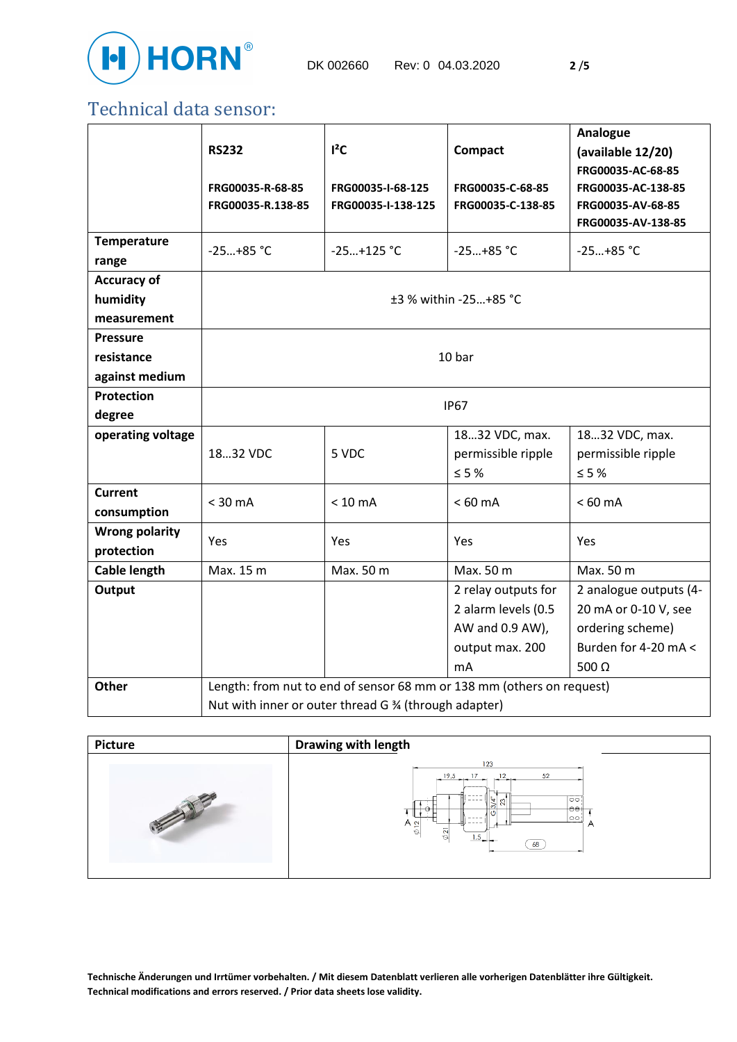

### Technical data sensor:

|                                     | <b>RS232</b>                                                          | $I^2C$                                  | <b>Compact</b>                                     | Analogue<br>(available 12/20)                                                      |
|-------------------------------------|-----------------------------------------------------------------------|-----------------------------------------|----------------------------------------------------|------------------------------------------------------------------------------------|
|                                     | FRG00035-R-68-85<br>FRG00035-R.138-85                                 | FRG00035-I-68-125<br>FRG00035-I-138-125 | FRG00035-C-68-85<br>FRG00035-C-138-85              | FRG00035-AC-68-85<br>FRG00035-AC-138-85<br>FRG00035-AV-68-85<br>FRG00035-AV-138-85 |
| <b>Temperature</b><br>range         | $-25+85$ °C                                                           | $-25+125$ °C                            | $-25+85$ °C                                        | $-25+85$ °C                                                                        |
| <b>Accuracy of</b>                  |                                                                       |                                         |                                                    |                                                                                    |
| humidity<br>measurement             | ±3 % within -25+85 °C                                                 |                                         |                                                    |                                                                                    |
| <b>Pressure</b>                     |                                                                       |                                         |                                                    |                                                                                    |
| resistance                          | 10 bar                                                                |                                         |                                                    |                                                                                    |
| against medium                      |                                                                       |                                         |                                                    |                                                                                    |
| Protection                          | <b>IP67</b>                                                           |                                         |                                                    |                                                                                    |
| degree                              |                                                                       |                                         |                                                    |                                                                                    |
| operating voltage                   | 1832 VDC                                                              | 5 VDC                                   | 1832 VDC, max.<br>permissible ripple<br>$\leq$ 5 % | 1832 VDC, max.<br>permissible ripple<br>$\leq$ 5 %                                 |
| <b>Current</b><br>consumption       | $<$ 30 mA                                                             | $< 10$ mA                               | $< 60$ mA                                          | $< 60$ mA                                                                          |
| <b>Wrong polarity</b><br>protection | Yes                                                                   | Yes                                     | Yes                                                | Yes                                                                                |
| <b>Cable length</b>                 | Max. 15 m                                                             | Max. 50 m                               | Max. 50 m                                          | Max. 50 m                                                                          |
| Output                              |                                                                       |                                         | 2 relay outputs for                                | 2 analogue outputs (4-                                                             |
|                                     |                                                                       |                                         | 2 alarm levels (0.5                                | 20 mA or 0-10 V, see                                                               |
|                                     |                                                                       |                                         | AW and 0.9 AW),                                    | ordering scheme)                                                                   |
|                                     |                                                                       |                                         | output max. 200                                    | Burden for 4-20 mA <                                                               |
|                                     |                                                                       |                                         | mA                                                 | 500 $\Omega$                                                                       |
| Other                               | Length: from nut to end of sensor 68 mm or 138 mm (others on request) |                                         |                                                    |                                                                                    |
|                                     | Nut with inner or outer thread G % (through adapter)                  |                                         |                                                    |                                                                                    |



**Technische Änderungen und Irrtümer vorbehalten. / Mit diesem Datenblatt verlieren alle vorherigen Datenblätter ihre Gültigkeit. Technical modifications and errors reserved. / Prior data sheets lose validity.**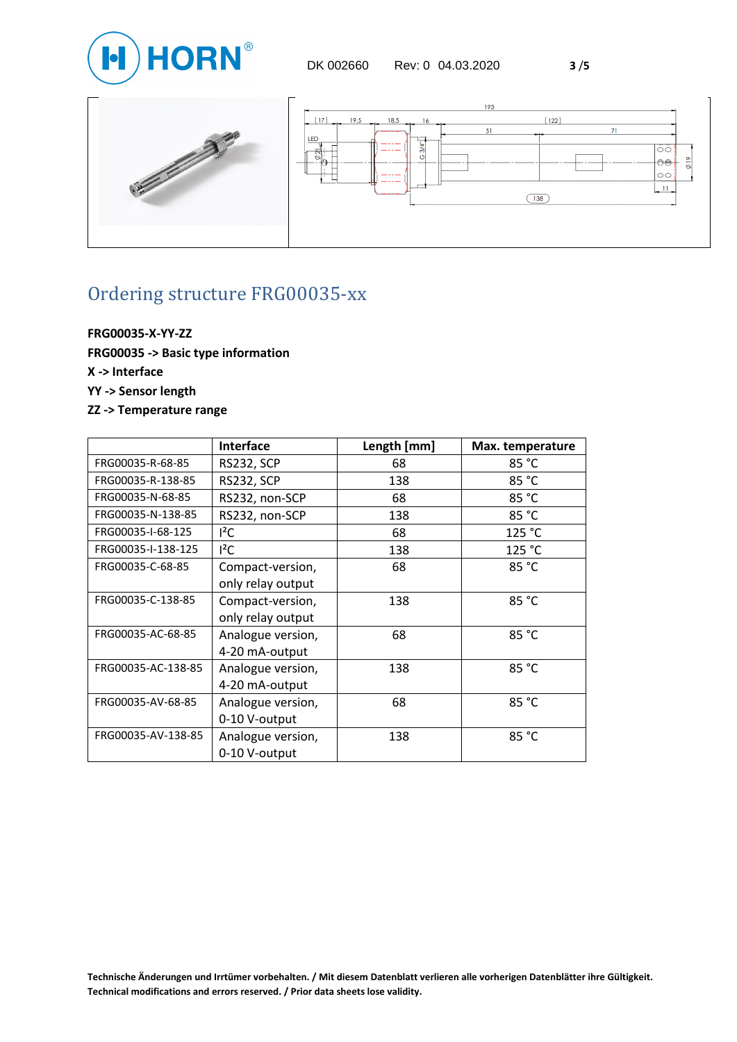



# Ordering structure FRG00035-xx

**FRG00035-X-YY-ZZ FRG00035 -> Basic type information X -> Interface YY -> Sensor length ZZ -> Temperature range**

|                    | <b>Interface</b>  | Length [mm] | Max. temperature |
|--------------------|-------------------|-------------|------------------|
| FRG00035-R-68-85   | <b>RS232, SCP</b> | 68          | 85 °C            |
| FRG00035-R-138-85  | <b>RS232, SCP</b> | 138         | 85 °C            |
| FRG00035-N-68-85   | RS232, non-SCP    | 68          | 85 °C            |
| FRG00035-N-138-85  | RS232, non-SCP    | 138         | 85 °C            |
| FRG00035-I-68-125  | $l^2C$            | 68          | 125 °C           |
| FRG00035-I-138-125 | $l^2C$            | 138         | 125 °C           |
| FRG00035-C-68-85   | Compact-version,  | 68          | 85 °C            |
|                    | only relay output |             |                  |
| FRG00035-C-138-85  | Compact-version,  | 138         | 85 °C            |
|                    | only relay output |             |                  |
| FRG00035-AC-68-85  | Analogue version, | 68          | 85 °C            |
|                    | 4-20 mA-output    |             |                  |
| FRG00035-AC-138-85 | Analogue version, | 138         | 85 °C            |
|                    | 4-20 mA-output    |             |                  |
| FRG00035-AV-68-85  | Analogue version, | 68          | 85 °C            |
|                    | 0-10 V-output     |             |                  |
| FRG00035-AV-138-85 | Analogue version, | 138         | 85 °C            |
|                    | 0-10 V-output     |             |                  |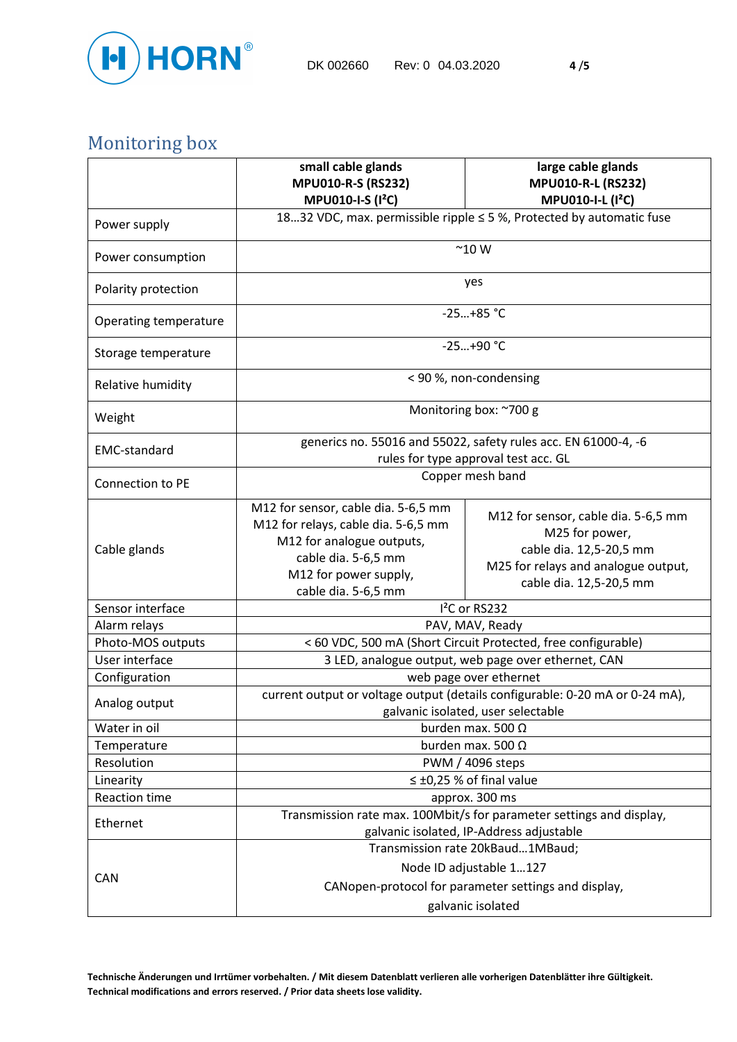

# Monitoring box

|                       | small cable glands<br><b>MPU010-R-S (RS232)</b>                                                                                                                                | large cable glands<br><b>MPU010-R-L (RS232)</b>                                                                                                    |  |  |
|-----------------------|--------------------------------------------------------------------------------------------------------------------------------------------------------------------------------|----------------------------------------------------------------------------------------------------------------------------------------------------|--|--|
|                       | <b>MPU010-I-S (I<sup>2</sup>C)</b>                                                                                                                                             | MPU010-I-L (I <sup>2</sup> C)                                                                                                                      |  |  |
| Power supply          | 1832 VDC, max. permissible ripple ≤ 5 %, Protected by automatic fuse                                                                                                           |                                                                                                                                                    |  |  |
| Power consumption     | $~^{\sim}$ 10 W                                                                                                                                                                |                                                                                                                                                    |  |  |
| Polarity protection   | yes                                                                                                                                                                            |                                                                                                                                                    |  |  |
| Operating temperature | $-25+85$ °C                                                                                                                                                                    |                                                                                                                                                    |  |  |
| Storage temperature   | $-25+90$ °C                                                                                                                                                                    |                                                                                                                                                    |  |  |
| Relative humidity     | < 90 %, non-condensing                                                                                                                                                         |                                                                                                                                                    |  |  |
| Weight                | Monitoring box: ~700 g                                                                                                                                                         |                                                                                                                                                    |  |  |
| <b>EMC-standard</b>   | generics no. 55016 and 55022, safety rules acc. EN 61000-4, -6<br>rules for type approval test acc. GL                                                                         |                                                                                                                                                    |  |  |
| Connection to PE      | Copper mesh band                                                                                                                                                               |                                                                                                                                                    |  |  |
| Cable glands          | M12 for sensor, cable dia. 5-6,5 mm<br>M12 for relays, cable dia. 5-6,5 mm<br>M12 for analogue outputs,<br>cable dia. 5-6,5 mm<br>M12 for power supply,<br>cable dia. 5-6,5 mm | M12 for sensor, cable dia. 5-6,5 mm<br>M25 for power,<br>cable dia. 12,5-20,5 mm<br>M25 for relays and analogue output,<br>cable dia. 12,5-20,5 mm |  |  |
| Sensor interface      | I <sup>2</sup> C or RS232                                                                                                                                                      |                                                                                                                                                    |  |  |
| Alarm relays          |                                                                                                                                                                                | PAV, MAV, Ready                                                                                                                                    |  |  |
| Photo-MOS outputs     |                                                                                                                                                                                | < 60 VDC, 500 mA (Short Circuit Protected, free configurable)                                                                                      |  |  |
| User interface        |                                                                                                                                                                                | 3 LED, analogue output, web page over ethernet, CAN                                                                                                |  |  |
| Configuration         | web page over ethernet                                                                                                                                                         |                                                                                                                                                    |  |  |
| Analog output         | current output or voltage output (details configurable: 0-20 mA or 0-24 mA),<br>galvanic isolated, user selectable                                                             |                                                                                                                                                    |  |  |
| Water in oil          | burden max. 500 $\Omega$                                                                                                                                                       |                                                                                                                                                    |  |  |
| Temperature           | burden max. 500 $\Omega$                                                                                                                                                       |                                                                                                                                                    |  |  |
| Resolution            | PWM / 4096 steps                                                                                                                                                               |                                                                                                                                                    |  |  |
| Linearity             | $\leq \pm 0.25$ % of final value                                                                                                                                               |                                                                                                                                                    |  |  |
| <b>Reaction time</b>  | approx. 300 ms                                                                                                                                                                 |                                                                                                                                                    |  |  |
| Ethernet              | Transmission rate max. 100Mbit/s for parameter settings and display,<br>galvanic isolated, IP-Address adjustable                                                               |                                                                                                                                                    |  |  |
|                       | Transmission rate 20kBaud1MBaud;                                                                                                                                               |                                                                                                                                                    |  |  |
| <b>CAN</b>            | Node ID adjustable 1127                                                                                                                                                        |                                                                                                                                                    |  |  |
|                       | CANopen-protocol for parameter settings and display,                                                                                                                           |                                                                                                                                                    |  |  |
|                       | galvanic isolated                                                                                                                                                              |                                                                                                                                                    |  |  |